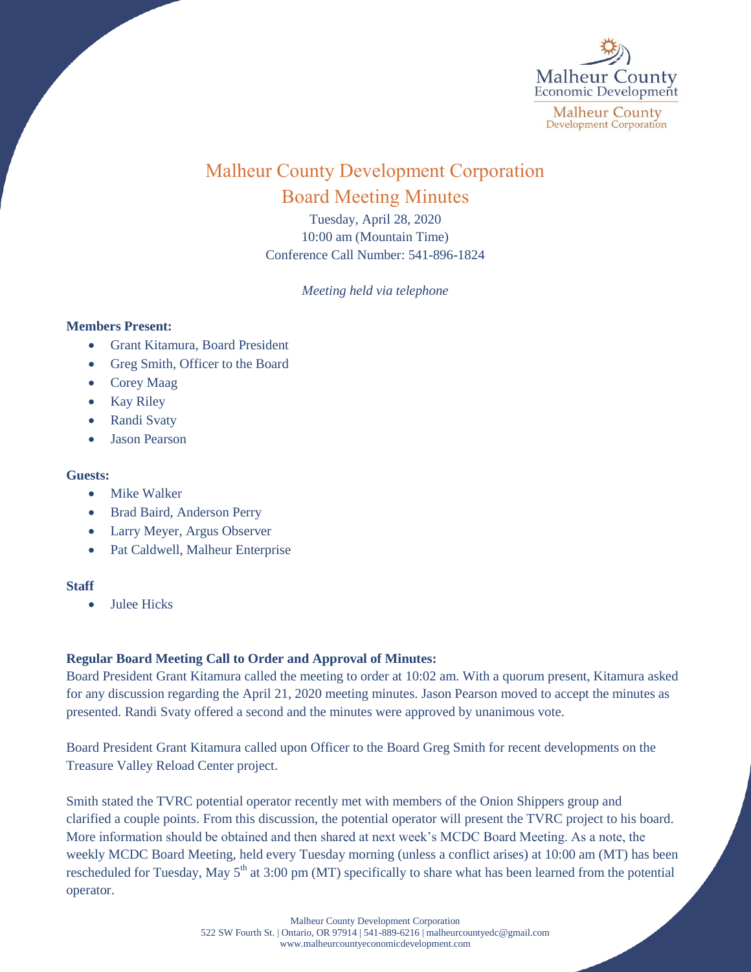

# Malheur County Development Corporation Board Meeting Minutes

Tuesday, April 28, 2020 10:00 am (Mountain Time) Conference Call Number: 541-896-1824

*Meeting held via telephone*

#### **Members Present:**

- Grant Kitamura, Board President
- Greg Smith, Officer to the Board
- Corey Maag
- Kay Riley
- Randi Svaty
- Jason Pearson

### **Guests:**

- Mike Walker
- Brad Baird, Anderson Perry
- Larry Meyer, Argus Observer
- Pat Caldwell, Malheur Enterprise

## **Staff**

• Julee Hicks

## **Regular Board Meeting Call to Order and Approval of Minutes:**

Board President Grant Kitamura called the meeting to order at 10:02 am. With a quorum present, Kitamura asked for any discussion regarding the April 21, 2020 meeting minutes. Jason Pearson moved to accept the minutes as presented. Randi Svaty offered a second and the minutes were approved by unanimous vote.

Board President Grant Kitamura called upon Officer to the Board Greg Smith for recent developments on the Treasure Valley Reload Center project.

Smith stated the TVRC potential operator recently met with members of the Onion Shippers group and clarified a couple points. From this discussion, the potential operator will present the TVRC project to his board. More information should be obtained and then shared at next week's MCDC Board Meeting. As a note, the weekly MCDC Board Meeting, held every Tuesday morning (unless a conflict arises) at 10:00 am (MT) has been rescheduled for Tuesday, May  $5<sup>th</sup>$  at 3:00 pm (MT) specifically to share what has been learned from the potential operator.

> Malheur County Development Corporation 522 SW Fourth St. | Ontario, OR 97914 | 541-889-6216 [| malheurcountyedc@gmail.com](mailto:malheurcountyedc@gmail.com) [www.malheurcountyeconomicdevelopment.com](http://www.malheurcountyeconomicdevelopment.com/)